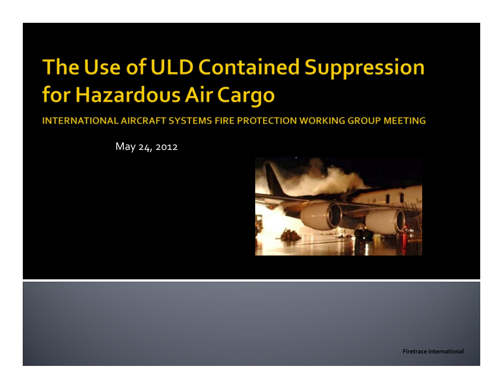## The Use of ULD Contained Suppression for Hazardous Air Cargo

INTERNATIONAL AIRCRAFT SYSTEMS FIRE PROTECTION WORKING GROUP MEETING

May 24, <sup>2012</sup>

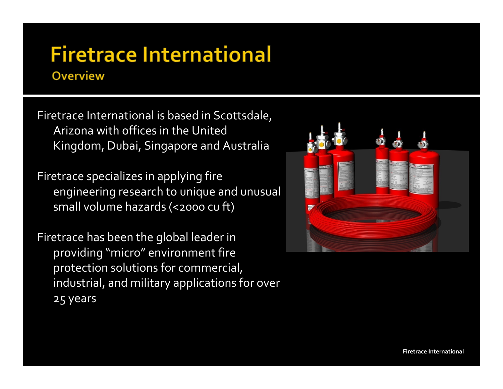#### **Firetrace International Overview**

Firetrace International is based in Scottsdale, Arizona with offices in the United Kingdom, Dubai, Singapore and Australia

Firetrace specializes in applying fire engineering research to unique and unusual small volume hazards (<2000 cu ft)

Firetrace has been the global leader in providing "micro" environment fire protection solutions for commercial, industrial, and military applications for over 25 years

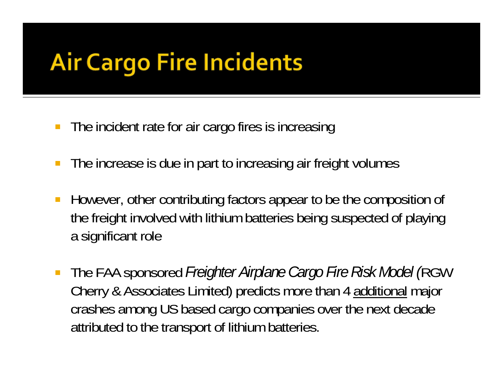## **Air Cargo Fire Incidents**

- **The incident rate for air cargo fires is increasing**
- $\mathbb{R}^3$ The increase is due in part to increasing air freight volumes
- $\mathcal{L}_{\mathcal{A}}$  However, other contributing factors appear to be the composition of the freight involved with lithium batteries being suspected of playing a significant role
- $\mathbb{R}^n$  The FAA sponsored *Freighter Airplane Cargo Fire Risk Model (*RGW Cherry & Associates Limited) predicts more than 4 additional major crashes among US based cargo companies over the next decade attributed to the transport of lithium batteries.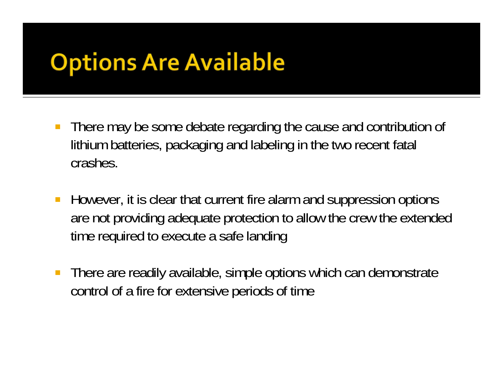## **Options Are Available**

- $\mathbb{R}^3$  There may be some debate regarding the cause and contribution of lithium batteries, packaging and labeling in the two recent fatal crashes.
- $\mathbb{R}^3$  However, it is clear that current fire alarm and suppression options are not providing adequate protection to allow the crew the extended time required to execute a safe landing
- $\mathcal{L}_{\mathcal{A}}$  There are readily available, simple options which can demonstrate control of a fire for extensive periods of time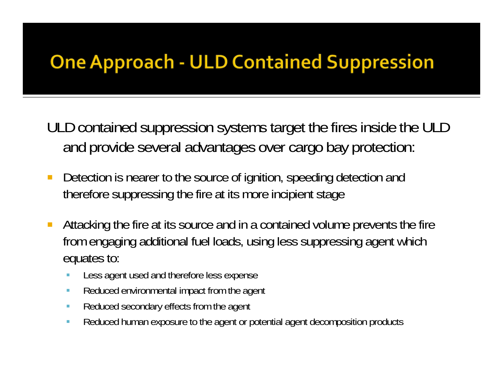#### **One Approach - ULD Contained Suppression**

ULD contained suppression systems target the fires inside the ULD and provide several advantages over cargo bay protection:

- $\mathcal{C}^{\mathcal{A}}$  Detection is nearer to the source of ignition, speeding detection and therefore suppressing the fire at its more incipient stage
- $\overline{\mathbb{R}^2}$  Attacking the fire at its source and in a contained volume prevents the fire from engaging additional fuel loads, using less suppressing agent which equates to:
	- × Less agent used and therefore less expense
	- $\mathcal{L}_{\mathcal{A}}$ Reduced environmental impact from the agent
	- $\mathcal{L}_{\mathcal{A}}$ Reduced secondary effects from the agent
	- $\overline{\phantom{a}}$ Reduced human exposure to the agent or potential agent decomposition products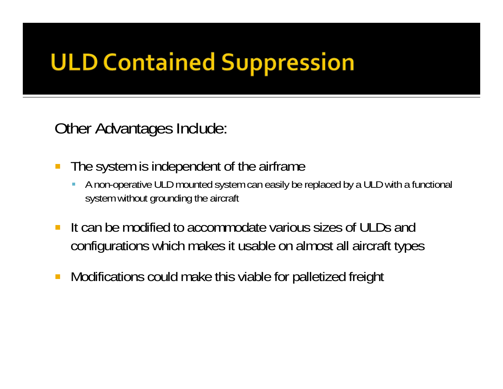# **ULD Contained Suppression**

Other Advantages Include:

- $\mathcal{L}_{\mathcal{A}}$  The system is independent of the airframe
	- A non-operative ULD mounted system can easily be replaced by a ULD with a functional system without grounding the aircraft
- $\mathcal{L}_{\mathcal{A}}$  It can be modified to accommodate various sizes of ULDs and configurations which makes it usable on almost all aircraft types
- $\mathbb{R}^2$ Modifications could make this viable for palletized freight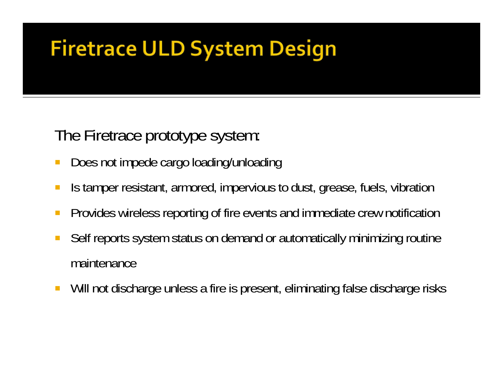### **Firetrace ULD System Design**

The Firetrace prototype system:

- $\mathcal{L}_{\mathcal{A}}$ Does not impede cargo loading/unloading
- Is tamper resistant, armored, impervious to dust, grease, fuels, vibration
- $\mathbb{R}^3$ Provides wireless reporting of fire events and immediate crew notification
- $\mathbb{R}^3$  Self reports system status on demand or automatically minimizing routine maintenance
- F. Will not discharge unless a fire is present, eliminating false discharge risks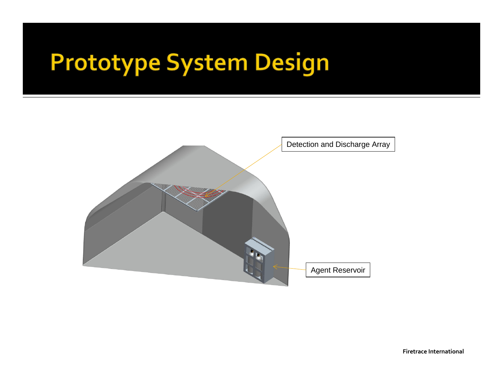## **Prototype System Design**

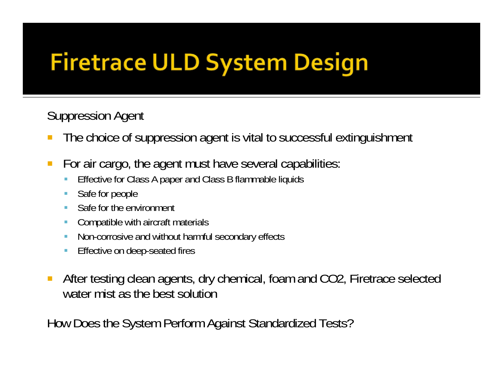# **Firetrace ULD System Design**

Suppression Agent

- $\mathbb{R}^3$ The choice of suppression agent is vital to successful extinguishment
- $\mathcal{C}^{\mathcal{A}}$  For air cargo, the agent must have several capabilities:
	- Effective for Class A paper and Class B flammable liquids
	- $\mathbb{Z}^{\mathbb{Z}}$ Safe for people
	- m. Safe for the environment
	- **Compatible with aircraft materials**
	- ٠ Non-corrosive and without harmful secondary effects
	- ٠ Effective on deep-seated fires
- $\mathcal{L}_{\mathcal{A}}$  After testing clean agents, dry chemical, foam and CO2, Firetrace selected water mist as the best solution

How Does the System Perform Against Standardized Tests?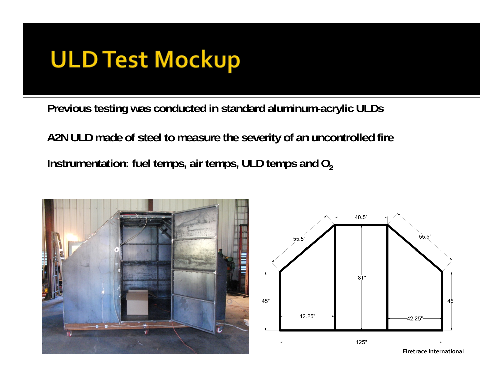## **ULD Test Mockup**

**Previous testing was conducted in standard aluminum-acrylic ULDs**

**A2N ULD made of steel to measure the severity of an uncontrolled fire Instrumentation: fuel temps, air temps, ULD temps and O 2**





**Firetrace International**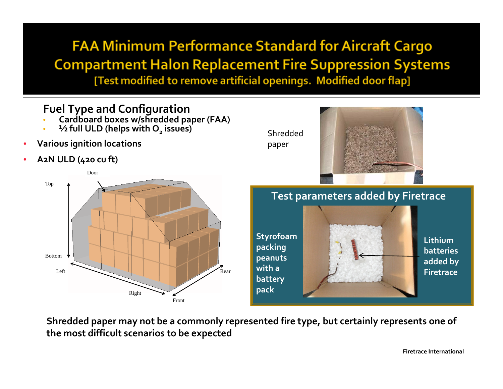**FAA Minimum Performance Standard for Aircraft Cargo Compartment Halon Replacement Fire Suppression Systems** [Test modified to remove artificial openings. Modified door flap]

#### **Fuel Type and Configuration**

- **Cardboard boxes w/shredded paper (FAA)**
- **½ full ULD (helps with O2 issues)**
- •**Various ignition locations**
- •**A2N ULD (420 cu ft)**





**Shredded paper may not be <sup>a</sup> commonly represented fire type, but certainly represents one of the most difficult scenarios to be expected**

**Firetrace International**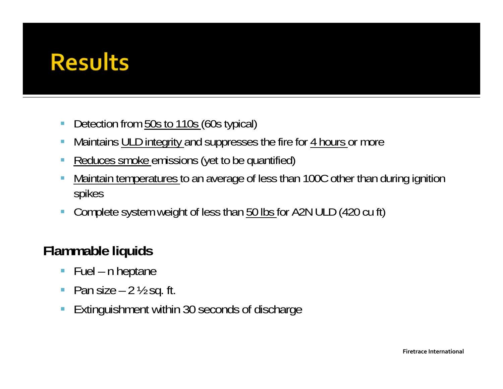### **Results**

- $\mathcal{C}$ Detection from 50s to 110s (60s typical)
- $\overline{\phantom{a}}$ Maintains ULD integrity and suppresses the fire for 4 hours or more
- T. Reduces smoke emissions (yet to be quantified)
- ×, Maintain temperatures to an average of less than 100C other than during ignition spikes
- $\mathbb{R}^2$ Complete system weight of less than 50 lbs for A2N ULD (420 cu ft)

#### **Flammable liquids**

- $\overline{\phantom{a}}$ Fuel – n heptane
- $\overline{\phantom{a}}$ Pan size  $-2\frac{1}{2}$  sq. ft.
- $\Box$ Extinguishment within 30 seconds of discharge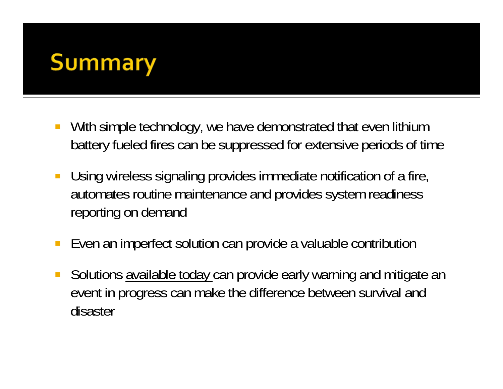## **Summary**

- $\mathcal{L}_{\mathcal{A}}$  With simple technology, we have demonstrated that even lithium battery fueled fires can be suppressed for extensive periods of time
- $\mathcal{L}_{\mathcal{A}}$  Using wireless signaling provides immediate notification of a fire, automates routine maintenance and provides system readiness reporting on demand
- $\mathbb{Z}$ Even an imperfect solution can provide a valuable contribution
- $\mathbb{R}^2$  Solutions available today can provide early warning and mitigate an event in progress can make the difference between survival and disaster